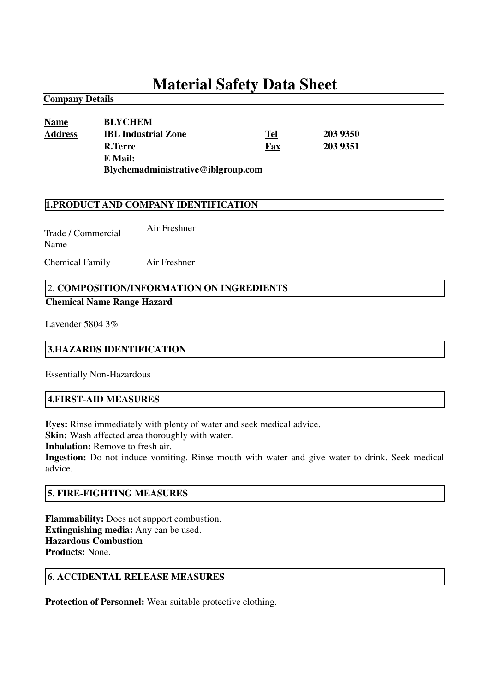# **Material Safety Data Sheet**

**Name BLYCHEM Address IBL Industrial Zone Tel 203 9350 R.Terre Fax 203 9351 E Mail: Blychemadministrative@iblgroup.com**

#### **1.PRODUCT AND COMPANY IDENTIFICATION**

Trade / Commercial Name Air Freshner

Chemical Family Air Freshner

## 2. **COMPOSITION/INFORMATION ON INGREDIENTS**

#### **Chemical Name Range Hazard**

Lavender 5804 3%

**Company Details**

#### **3.HAZARDS IDENTIFICATION**

Essentially Non-Hazardous

#### **4.FIRST-AID MEASURES**

**Eyes:** Rinse immediately with plenty of water and seek medical advice.

**Skin:** Wash affected area thoroughly with water.

**Inhalation:** Remove to fresh air.

**Ingestion:** Do not induce vomiting. Rinse mouth with water and give water to drink. Seek medical advice.

#### **5**. **FIRE-FIGHTING MEASURES**

**Flammability:** Does not support combustion. **Extinguishing media:** Any can be used. **Hazardous Combustion Products:** None.

#### **6**. **ACCIDENTAL RELEASE MEASURES**

**Protection of Personnel:** Wear suitable protective clothing.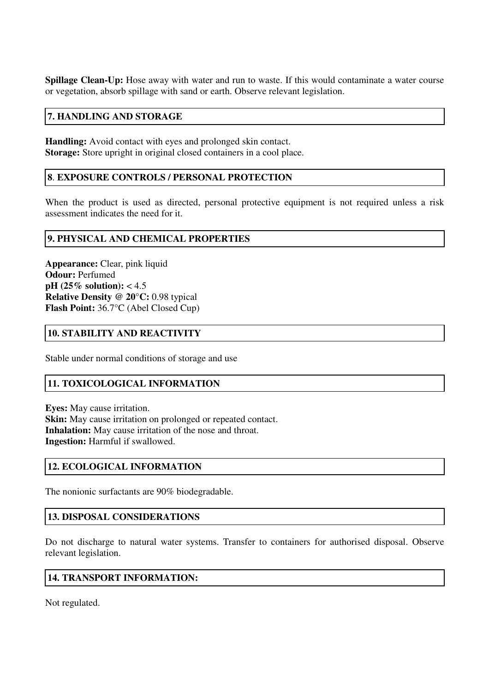**Spillage Clean-Up:** Hose away with water and run to waste. If this would contaminate a water course or vegetation, absorb spillage with sand or earth. Observe relevant legislation.

## **7. HANDLING AND STORAGE**

**Handling:** Avoid contact with eyes and prolonged skin contact. **Storage:** Store upright in original closed containers in a cool place.

## **8**. **EXPOSURE CONTROLS / PERSONAL PROTECTION**

When the product is used as directed, personal protective equipment is not required unless a risk assessment indicates the need for it.

## **9. PHYSICAL AND CHEMICAL PROPERTIES**

**Appearance:** Clear, pink liquid **Odour:** Perfumed **pH (25% solution):** < 4.5 **Relative Density @ 20°C:** 0.98 typical **Flash Point:** 36.7°C (Abel Closed Cup)

## **10. STABILITY AND REACTIVITY**

Stable under normal conditions of storage and use

## **11. TOXICOLOGICAL INFORMATION**

**Eyes:** May cause irritation. **Skin:** May cause irritation on prolonged or repeated contact. **Inhalation:** May cause irritation of the nose and throat. **Ingestion:** Harmful if swallowed.

## **12. ECOLOGICAL INFORMATION**

The nonionic surfactants are 90% biodegradable.

## **13. DISPOSAL CONSIDERATIONS**

Do not discharge to natural water systems. Transfer to containers for authorised disposal. Observe relevant legislation.

## **14. TRANSPORT INFORMATION:**

Not regulated.